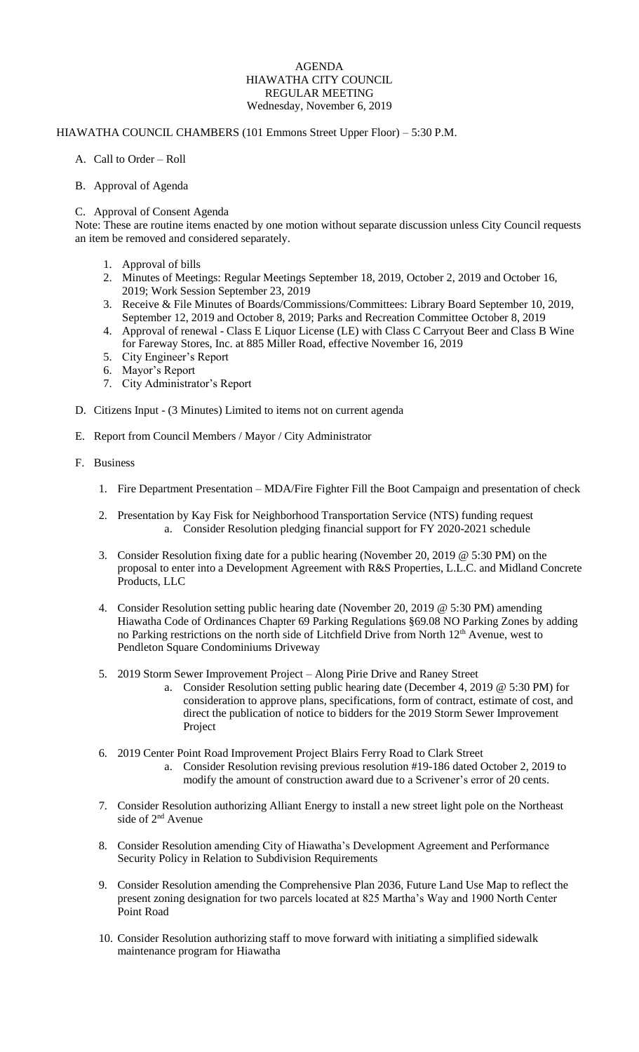# AGENDA HIAWATHA CITY COUNCIL REGULAR MEETING Wednesday, November 6, 2019

# HIAWATHA COUNCIL CHAMBERS (101 Emmons Street Upper Floor) – 5:30 P.M.

# A. Call to Order – Roll

### B. Approval of Agenda

### C. Approval of Consent Agenda

Note: These are routine items enacted by one motion without separate discussion unless City Council requests an item be removed and considered separately.

- 1. Approval of bills
- 2. Minutes of Meetings: Regular Meetings September 18, 2019, October 2, 2019 and October 16, 2019; Work Session September 23, 2019
- 3. Receive & File Minutes of Boards/Commissions/Committees: Library Board September 10, 2019, September 12, 2019 and October 8, 2019; Parks and Recreation Committee October 8, 2019
- 4. Approval of renewal Class E Liquor License (LE) with Class C Carryout Beer and Class B Wine for Fareway Stores, Inc. at 885 Miller Road, effective November 16, 2019
- 5. City Engineer's Report
- 6. Mayor's Report
- 7. City Administrator's Report
- D. Citizens Input (3 Minutes) Limited to items not on current agenda
- E. Report from Council Members / Mayor / City Administrator
- F. Business
	- 1. Fire Department Presentation MDA/Fire Fighter Fill the Boot Campaign and presentation of check
	- 2. Presentation by Kay Fisk for Neighborhood Transportation Service (NTS) funding request a. Consider Resolution pledging financial support for FY 2020-2021 schedule
	- 3. Consider Resolution fixing date for a public hearing (November 20, 2019 @ 5:30 PM) on the proposal to enter into a Development Agreement with R&S Properties, L.L.C. and Midland Concrete Products, LLC
	- 4. Consider Resolution setting public hearing date (November 20, 2019 @ 5:30 PM) amending Hiawatha Code of Ordinances Chapter 69 Parking Regulations §69.08 NO Parking Zones by adding no Parking restrictions on the north side of Litchfield Drive from North 12<sup>th</sup> Avenue, west to Pendleton Square Condominiums Driveway
	- 5. 2019 Storm Sewer Improvement Project Along Pirie Drive and Raney Street
		- a. Consider Resolution setting public hearing date (December 4, 2019 @ 5:30 PM) for consideration to approve plans, specifications, form of contract, estimate of cost, and direct the publication of notice to bidders for the 2019 Storm Sewer Improvement Project
	- 6. 2019 Center Point Road Improvement Project Blairs Ferry Road to Clark Street
		- a. Consider Resolution revising previous resolution #19-186 dated October 2, 2019 to modify the amount of construction award due to a Scrivener's error of 20 cents.
	- 7. Consider Resolution authorizing Alliant Energy to install a new street light pole on the Northeast side of 2<sup>nd</sup> Avenue
	- 8. Consider Resolution amending City of Hiawatha's Development Agreement and Performance Security Policy in Relation to Subdivision Requirements
	- 9. Consider Resolution amending the Comprehensive Plan 2036, Future Land Use Map to reflect the present zoning designation for two parcels located at 825 Martha's Way and 1900 North Center Point Road
	- 10. Consider Resolution authorizing staff to move forward with initiating a simplified sidewalk maintenance program for Hiawatha